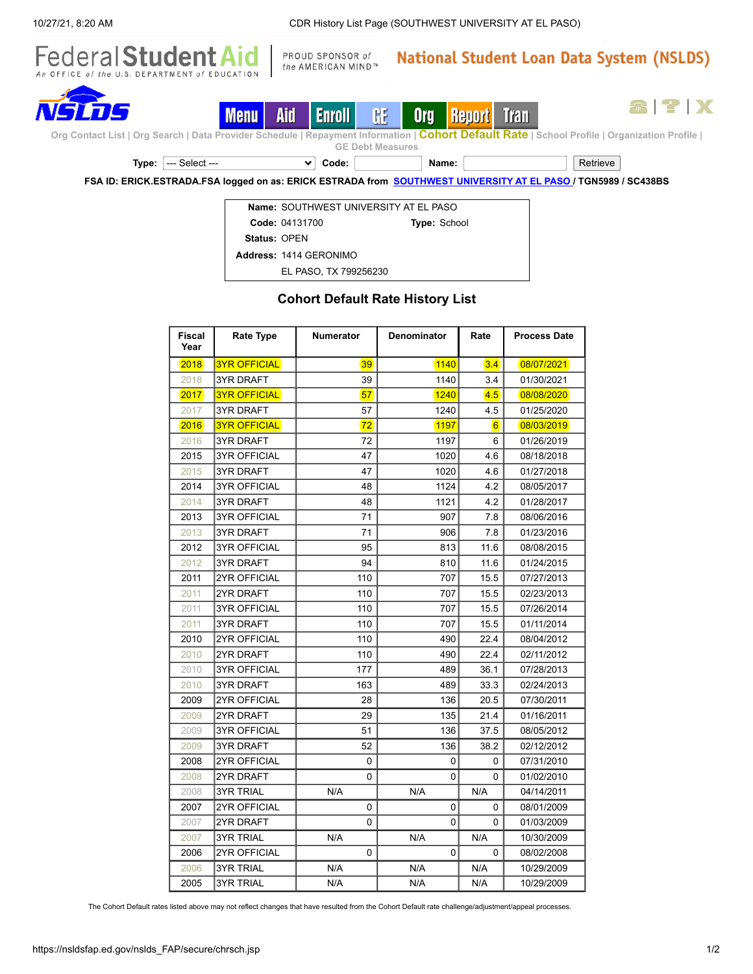

**FSA ID: ERICK.ESTRADA.FSA logged on as: ERICK ESTRADA from [SOUTHWEST](https://nsldsfap.ed.gov/nslds_FAP/secure/orgclst.jsp?c184j=-719202227&ORGCODE=041317&ORGSUBCODE=04131700&ORGTYPE=SCH) UNIVERSITY AT EL PASO / TGN5989 / SC438BS**

|                     | Name: SOUTHWEST UNIVERSITY AT FL PASO |                     |  |  |
|---------------------|---------------------------------------|---------------------|--|--|
|                     | Code: 04131700                        | <b>Type: School</b> |  |  |
| <b>Status: OPEN</b> |                                       |                     |  |  |
|                     | Address: 1414 GERONIMO                |                     |  |  |
|                     | EL PASO, TX 799256230                 |                     |  |  |

## **Cohort Default Rate History List**

| <b>Fiscal</b><br>Year | <b>Rate Type</b>    | <b>Numerator</b> | <b>Denominator</b> | Rate     | <b>Process Date</b> |
|-----------------------|---------------------|------------------|--------------------|----------|---------------------|
| 2018                  | <b>3YR OFFICIAL</b> | 39               | 1140               | 3.4      | 08/07/2021          |
| 2018                  | <b>3YR DRAFT</b>    | 39               | 1140               | 3.4      | 01/30/2021          |
| 2017                  | <b>3YR OFFICIAL</b> | 57               | 1240               | 4.5      | 08/08/2020          |
| 2017                  | 3YR DRAFT           | 57               | 1240               | 4.5      | 01/25/2020          |
| 2016                  | <b>3YR OFFICIAL</b> | 72               | 1197               | 6        | 08/03/2019          |
| 2016                  | 3YR DRAFT           | 72               | 1197               | 6        | 01/26/2019          |
| 2015                  | <b>3YR OFFICIAL</b> | 47               | 1020               | 4.6      | 08/18/2018          |
| 2015                  | <b>3YR DRAFT</b>    | 47               | 1020               | 4.6      | 01/27/2018          |
| 2014                  | <b>3YR OFFICIAL</b> | 48               | 1124               | 4.2      | 08/05/2017          |
| 2014                  | <b>3YR DRAFT</b>    | 48               | 1121               | 4.2      | 01/28/2017          |
| 2013                  | <b>3YR OFFICIAL</b> | 71               | 907                | 7.8      | 08/06/2016          |
| 2013                  | <b>3YR DRAFT</b>    | 71               | 906                | 7.8      | 01/23/2016          |
| 2012                  | <b>3YR OFFICIAL</b> | 95               | 813                | 11.6     | 08/08/2015          |
| 2012                  | <b>3YR DRAFT</b>    | 94               | 810                | 11.6     | 01/24/2015          |
| 2011                  | <b>2YR OFFICIAL</b> | 110              | 707                | 15.5     | 07/27/2013          |
| 2011                  | 2YR DRAFT           | 110              | 707                | 15.5     | 02/23/2013          |
| 2011                  | <b>3YR OFFICIAL</b> | 110              | 707                | 15.5     | 07/26/2014          |
| 2011                  | <b>3YR DRAFT</b>    | 110              | 707                | 15.5     | 01/11/2014          |
| 2010                  | 2YR OFFICIAL        | 110              | 490                | 22.4     | 08/04/2012          |
| 2010                  | 2YR DRAFT           | 110              | 490                | 22.4     | 02/11/2012          |
| 2010                  | <b>3YR OFFICIAL</b> | 177              | 489                | 36.1     | 07/28/2013          |
| 2010                  | 3YR DRAFT           | 163              | 489                | 33.3     | 02/24/2013          |
| 2009                  | 2YR OFFICIAL        | 28               | 136                | 20.5     | 07/30/2011          |
| 2009                  | 2YR DRAFT           | 29               | 135                | 21.4     | 01/16/2011          |
| 2009                  | <b>3YR OFFICIAL</b> | 51               | 136                | 37.5     | 08/05/2012          |
| 2009                  | <b>3YR DRAFT</b>    | 52               | 136                | 38.2     | 02/12/2012          |
| 2008                  | <b>2YR OFFICIAL</b> | 0                | 0                  | 0        | 07/31/2010          |
| 2008                  | 2YR DRAFT           | $\Omega$         | 0                  | 0        | 01/02/2010          |
| 2008                  | <b>3YR TRIAL</b>    | N/A              | N/A                | N/A      | 04/14/2011          |
| 2007                  | <b>2YR OFFICIAL</b> | 0                | 0                  | 0        | 08/01/2009          |
| 2007                  | 2YR DRAFT           | $\Omega$         | 0                  | 0        | 01/03/2009          |
| 2007                  | <b>3YR TRIAL</b>    | N/A              | N/A                | N/A      | 10/30/2009          |
| 2006                  | 2YR OFFICIAL        | $\Omega$         | 0                  | $\Omega$ | 08/02/2008          |
| 2006                  | <b>3YR TRIAL</b>    | N/A              | N/A                | N/A      | 10/29/2009          |
| 2005                  | 3YR TRIAL           | N/A              | N/A                | N/A      | 10/29/2009          |

The Cohort Default rates listed above may not reflect changes that have resulted from the Cohort Default rate challenge/adjustment/appeal processes.